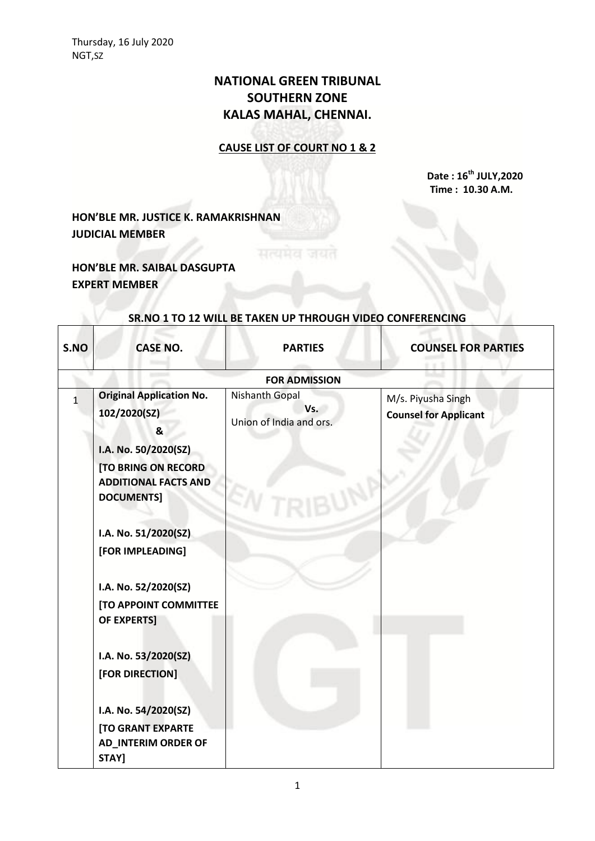## **NATIONAL GREEN TRIBUNAL SOUTHERN ZONE KALAS MAHAL, CHENNAI.**

## **CAUSE LIST OF COURT NO 1 & 2**

**Date : 16th JULY,2020 Time : 10.30 A.M.**

**HON'BLE MR. JUSTICE K. RAMAKRISHNAN JUDICIAL MEMBER**

**HON'BLE MR. SAIBAL DASGUPTA EXPERT MEMBER**

| S.NO         | <b>CASE NO.</b>                                                                                                                                                                                            | <b>PARTIES</b>                                          | <b>COUNSEL FOR PARTIES</b>                         |
|--------------|------------------------------------------------------------------------------------------------------------------------------------------------------------------------------------------------------------|---------------------------------------------------------|----------------------------------------------------|
|              |                                                                                                                                                                                                            | <b>FOR ADMISSION</b>                                    |                                                    |
| $\mathbf{1}$ | <b>Original Application No.</b><br>102/2020(SZ)<br>&<br>I.A. No. 50/2020(SZ)<br><b>[TO BRING ON RECORD</b><br><b>ADDITIONAL FACTS AND</b><br><b>DOCUMENTS]</b><br>I.A. No. 51/2020(SZ)<br>[FOR IMPLEADING] | <b>Nishanth Gopal</b><br>Vs.<br>Union of India and ors. | M/s. Piyusha Singh<br><b>Counsel for Applicant</b> |
|              | I.A. No. 52/2020(SZ)<br>[TO APPOINT COMMITTEE<br><b>OF EXPERTS]</b><br>I.A. No. 53/2020(SZ)<br>[FOR DIRECTION]<br>I.A. No. 54/2020(SZ)<br><b>[TO GRANT EXPARTE</b><br><b>AD_INTERIM ORDER OF</b><br>STAY]  |                                                         |                                                    |

## **SR.NO 1 TO 12 WILL BE TAKEN UP THROUGH VIDEO CONFERENCING**

सत्यमेव जयत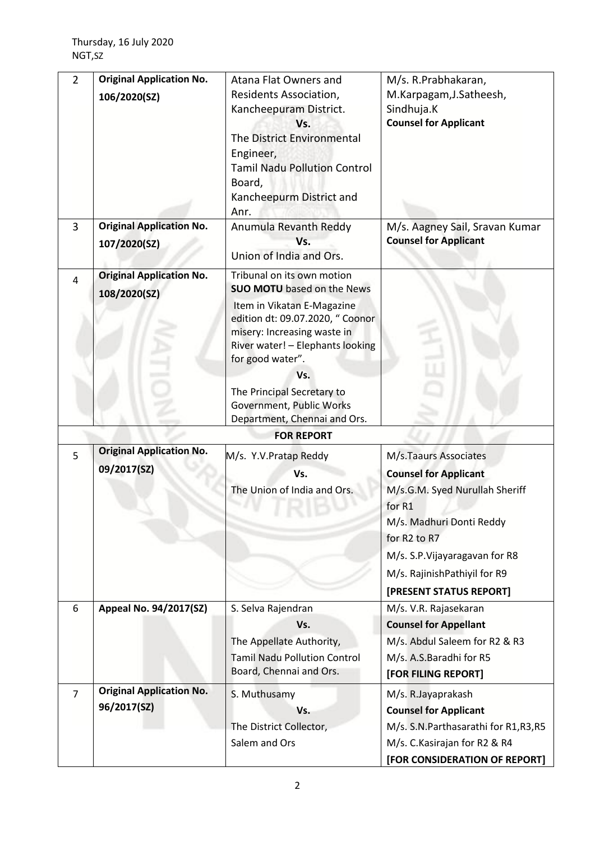| $\overline{2}$ | <b>Original Application No.</b><br>106/2020(SZ) | Atana Flat Owners and<br>Residents Association,<br>Kancheepuram District.<br>Vs.<br>The District Environmental<br>Engineer,<br><b>Tamil Nadu Pollution Control</b><br>Board,<br>Kancheepurm District and                                                                                                                  | M/s. R.Prabhakaran,<br>M.Karpagam, J.Satheesh,<br>Sindhuja.K<br><b>Counsel for Applicant</b>                                                                                                                                               |
|----------------|-------------------------------------------------|---------------------------------------------------------------------------------------------------------------------------------------------------------------------------------------------------------------------------------------------------------------------------------------------------------------------------|--------------------------------------------------------------------------------------------------------------------------------------------------------------------------------------------------------------------------------------------|
| 3              | <b>Original Application No.</b><br>107/2020(SZ) | Anr.<br>Anumula Revanth Reddy<br>Vs.<br>Union of India and Ors.                                                                                                                                                                                                                                                           | M/s. Aagney Sail, Sravan Kumar<br><b>Counsel for Applicant</b>                                                                                                                                                                             |
| 4              | <b>Original Application No.</b><br>108/2020(SZ) | Tribunal on its own motion<br><b>SUO MOTU</b> based on the News<br>Item in Vikatan E-Magazine<br>edition dt: 09.07.2020, " Coonor<br>misery: Increasing waste in<br>River water! - Elephants looking<br>for good water".<br>Vs.<br>The Principal Secretary to<br>Government, Public Works<br>Department, Chennai and Ors. |                                                                                                                                                                                                                                            |
|                |                                                 | <b>FOR REPORT</b>                                                                                                                                                                                                                                                                                                         |                                                                                                                                                                                                                                            |
| 5              | <b>Original Application No.</b><br>09/2017(SZ)  | M/s. Y.V. Pratap Reddy<br>Vs.<br>The Union of India and Ors.                                                                                                                                                                                                                                                              | M/s.Taaurs Associates<br><b>Counsel for Applicant</b><br>M/s.G.M. Syed Nurullah Sheriff<br>for R1<br>M/s. Madhuri Donti Reddy<br>for R2 to R7<br>M/s. S.P. Vijayaragavan for R8<br>M/s. RajinishPathiyil for R9<br>[PRESENT STATUS REPORT] |
| 6              | Appeal No. 94/2017(SZ)                          | S. Selva Rajendran<br>Vs.<br>The Appellate Authority,<br><b>Tamil Nadu Pollution Control</b><br>Board, Chennai and Ors.                                                                                                                                                                                                   | M/s. V.R. Rajasekaran<br><b>Counsel for Appellant</b><br>M/s. Abdul Saleem for R2 & R3<br>M/s. A.S.Baradhi for R5<br>[FOR FILING REPORT]                                                                                                   |
| $\overline{7}$ | <b>Original Application No.</b><br>96/2017(SZ)  | S. Muthusamy<br>Vs.<br>The District Collector,<br>Salem and Ors                                                                                                                                                                                                                                                           | M/s. R.Jayaprakash<br><b>Counsel for Applicant</b><br>M/s. S.N.Parthasarathi for R1,R3,R5<br>M/s. C. Kasirajan for R2 & R4<br>[FOR CONSIDERATION OF REPORT]                                                                                |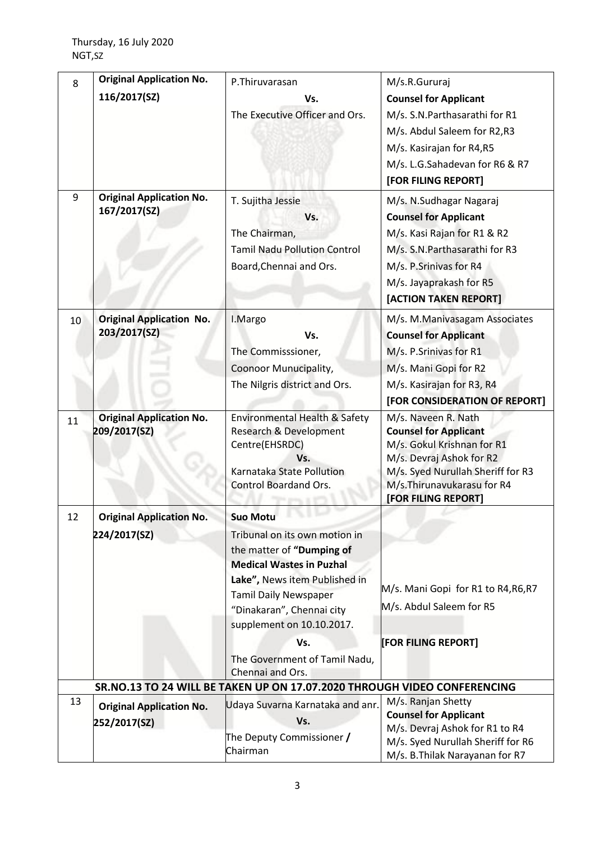| 8  | <b>Original Application No.</b> | P.Thiruvarasan                                                                               | M/s.R.Gururaj                                          |
|----|---------------------------------|----------------------------------------------------------------------------------------------|--------------------------------------------------------|
|    | 116/2017(SZ)                    | Vs.                                                                                          | <b>Counsel for Applicant</b>                           |
|    |                                 | The Executive Officer and Ors.                                                               | M/s. S.N.Parthasarathi for R1                          |
|    |                                 |                                                                                              | M/s. Abdul Saleem for R2,R3                            |
|    |                                 |                                                                                              | M/s. Kasirajan for R4,R5                               |
|    |                                 |                                                                                              | M/s. L.G.Sahadevan for R6 & R7                         |
|    |                                 |                                                                                              | [FOR FILING REPORT]                                    |
| 9  | <b>Original Application No.</b> | T. Sujitha Jessie                                                                            | M/s. N.Sudhagar Nagaraj                                |
|    | 167/2017(SZ)                    | Vs.                                                                                          | <b>Counsel for Applicant</b>                           |
|    |                                 |                                                                                              | M/s. Kasi Rajan for R1 & R2                            |
|    |                                 | The Chairman,<br><b>Tamil Nadu Pollution Control</b>                                         |                                                        |
|    |                                 |                                                                                              | M/s. S.N.Parthasarathi for R3                          |
|    |                                 | Board, Chennai and Ors.                                                                      | M/s. P.Srinivas for R4                                 |
|    |                                 |                                                                                              | M/s. Jayaprakash for R5                                |
|    |                                 |                                                                                              | [ACTION TAKEN REPORT]                                  |
| 10 | <b>Original Application No.</b> | I.Margo                                                                                      | M/s. M.Manivasagam Associates                          |
|    | 203/2017(SZ)                    | Vs.                                                                                          | <b>Counsel for Applicant</b>                           |
|    |                                 | The Commisssioner,                                                                           | M/s. P.Srinivas for R1                                 |
|    |                                 | Coonoor Munucipality,                                                                        | M/s. Mani Gopi for R2                                  |
|    |                                 | The Nilgris district and Ors.                                                                | M/s. Kasirajan for R3, R4                              |
|    |                                 |                                                                                              | [FOR CONSIDERATION OF REPORT]                          |
| 11 | <b>Original Application No.</b> | Environmental Health & Safety                                                                | M/s. Naveen R. Nath                                    |
|    | 209/2017(SZ)                    | Research & Development                                                                       | <b>Counsel for Applicant</b>                           |
|    |                                 | Centre(EHSRDC)<br>Vs.                                                                        | M/s. Gokul Krishnan for R1<br>M/s. Devraj Ashok for R2 |
|    |                                 | Karnataka State Pollution                                                                    | M/s. Syed Nurullah Sheriff for R3                      |
|    |                                 | Control Boardand Ors.                                                                        | M/s.Thirunavukarasu for R4                             |
|    |                                 |                                                                                              | [FOR FILING REPORT]                                    |
| 12 | <b>Original Application No.</b> | <b>Suo Motu</b>                                                                              |                                                        |
|    | 224/2017(SZ)                    | Tribunal on its own motion in                                                                |                                                        |
|    |                                 | the matter of "Dumping of                                                                    |                                                        |
|    |                                 | <b>Medical Wastes in Puzhal</b>                                                              |                                                        |
|    |                                 | Lake", News item Published in                                                                | M/s. Mani Gopi for R1 to R4, R6, R7                    |
|    |                                 | <b>Tamil Daily Newspaper</b>                                                                 | M/s. Abdul Saleem for R5                               |
|    |                                 | "Dinakaran", Chennai city                                                                    |                                                        |
|    |                                 | supplement on 10.10.2017.                                                                    |                                                        |
|    |                                 | Vs.                                                                                          | [FOR FILING REPORT]                                    |
|    |                                 | The Government of Tamil Nadu,                                                                |                                                        |
|    |                                 | Chennai and Ors.<br>SR.NO.13 TO 24 WILL BE TAKEN UP ON 17.07.2020 THROUGH VIDEO CONFERENCING |                                                        |
| 13 |                                 | Udaya Suvarna Karnataka and anr.                                                             | M/s. Ranjan Shetty                                     |
|    | <b>Original Application No.</b> | Vs.                                                                                          | <b>Counsel for Applicant</b>                           |
|    | 252/2017(SZ)                    |                                                                                              | M/s. Devraj Ashok for R1 to R4                         |
|    |                                 | The Deputy Commissioner /<br>Chairman                                                        | M/s. Syed Nurullah Sheriff for R6                      |
|    |                                 |                                                                                              | M/s. B. Thilak Narayanan for R7                        |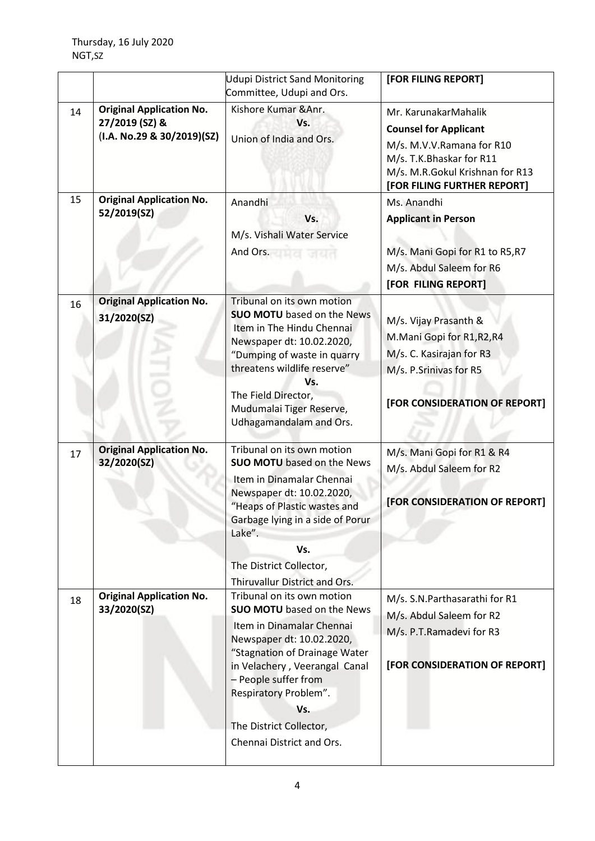|    |                                                                                 | <b>Udupi District Sand Monitoring</b>                                                                                                                                                                                                                                                                       | [FOR FILING REPORT]                                                                                                                                                             |
|----|---------------------------------------------------------------------------------|-------------------------------------------------------------------------------------------------------------------------------------------------------------------------------------------------------------------------------------------------------------------------------------------------------------|---------------------------------------------------------------------------------------------------------------------------------------------------------------------------------|
|    |                                                                                 | Committee, Udupi and Ors.                                                                                                                                                                                                                                                                                   |                                                                                                                                                                                 |
| 14 | <b>Original Application No.</b><br>27/2019 (SZ) &<br>(I.A. No.29 & 30/2019)(SZ) | Kishore Kumar & Anr.<br>Vs.<br>Union of India and Ors.                                                                                                                                                                                                                                                      | Mr. KarunakarMahalik<br><b>Counsel for Applicant</b><br>M/s. M.V.V.Ramana for R10<br>M/s. T.K.Bhaskar for R11<br>M/s. M.R.Gokul Krishnan for R13<br>[FOR FILING FURTHER REPORT] |
| 15 | <b>Original Application No.</b><br>52/2019(SZ)                                  | Anandhi<br>Vs.<br>M/s. Vishali Water Service<br>And Ors.                                                                                                                                                                                                                                                    | Ms. Anandhi<br><b>Applicant in Person</b><br>M/s. Mani Gopi for R1 to R5, R7<br>M/s. Abdul Saleem for R6<br>[FOR FILING REPORT]                                                 |
| 16 | <b>Original Application No.</b><br>31/2020(SZ)                                  | Tribunal on its own motion<br><b>SUO MOTU</b> based on the News<br>Item in The Hindu Chennai<br>Newspaper dt: 10.02.2020,<br>"Dumping of waste in quarry<br>threatens wildlife reserve"<br>Vs.<br>The Field Director,<br>Mudumalai Tiger Reserve,<br>Udhagamandalam and Ors.                                | M/s. Vijay Prasanth &<br>M.Mani Gopi for R1,R2,R4<br>M/s. C. Kasirajan for R3<br>M/s. P.Srinivas for R5<br>[FOR CONSIDERATION OF REPORT]                                        |
| 17 | <b>Original Application No.</b><br>32/2020(SZ)                                  | Tribunal on its own motion<br><b>SUO MOTU</b> based on the News<br>Item in Dinamalar Chennai<br>Newspaper dt: 10.02.2020,<br>"Heaps of Plastic wastes and<br>Garbage lying in a side of Porur<br>Lake".<br>Vs.<br>The District Collector,<br>Thiruvallur District and Ors.                                  | M/s. Mani Gopi for R1 & R4<br>M/s. Abdul Saleem for R2<br>[FOR CONSIDERATION OF REPORT]                                                                                         |
| 18 | <b>Original Application No.</b><br>33/2020(SZ)                                  | Tribunal on its own motion<br><b>SUO MOTU</b> based on the News<br>Item in Dinamalar Chennai<br>Newspaper dt: 10.02.2020,<br>"Stagnation of Drainage Water<br>in Velachery, Veerangal Canal<br>- People suffer from<br>Respiratory Problem".<br>Vs.<br>The District Collector,<br>Chennai District and Ors. | M/s. S.N.Parthasarathi for R1<br>M/s. Abdul Saleem for R2<br>M/s. P.T.Ramadevi for R3<br>[FOR CONSIDERATION OF REPORT]                                                          |